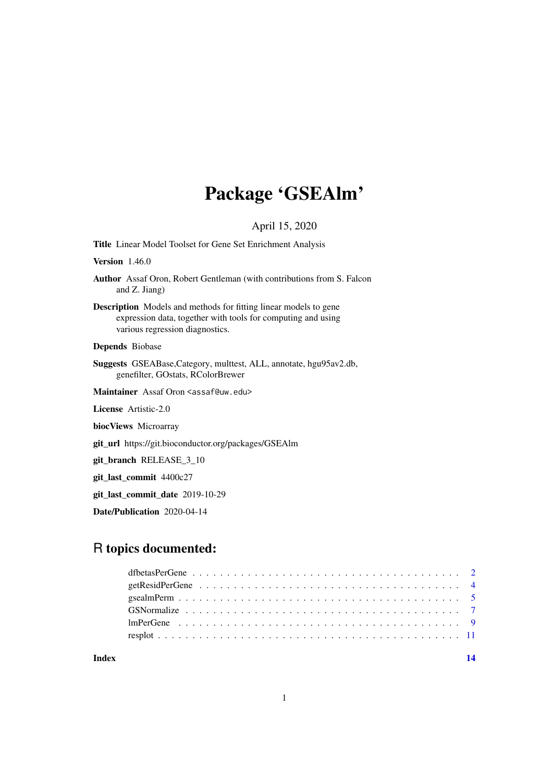# Package 'GSEAlm'

# April 15, 2020

<span id="page-0-0"></span>Title Linear Model Toolset for Gene Set Enrichment Analysis

Version 1.46.0

Author Assaf Oron, Robert Gentleman (with contributions from S. Falcon and Z. Jiang)

Description Models and methods for fitting linear models to gene expression data, together with tools for computing and using various regression diagnostics.

Depends Biobase

Suggests GSEABase,Category, multtest, ALL, annotate, hgu95av2.db, genefilter, GOstats, RColorBrewer

Maintainer Assaf Oron <assaf@uw.edu>

License Artistic-2.0

biocViews Microarray

git\_url https://git.bioconductor.org/packages/GSEAlm

git\_branch RELEASE\_3\_10

git\_last\_commit 4400c27

git\_last\_commit\_date 2019-10-29

Date/Publication 2020-04-14

# R topics documented:

**Index** [14](#page-13-0)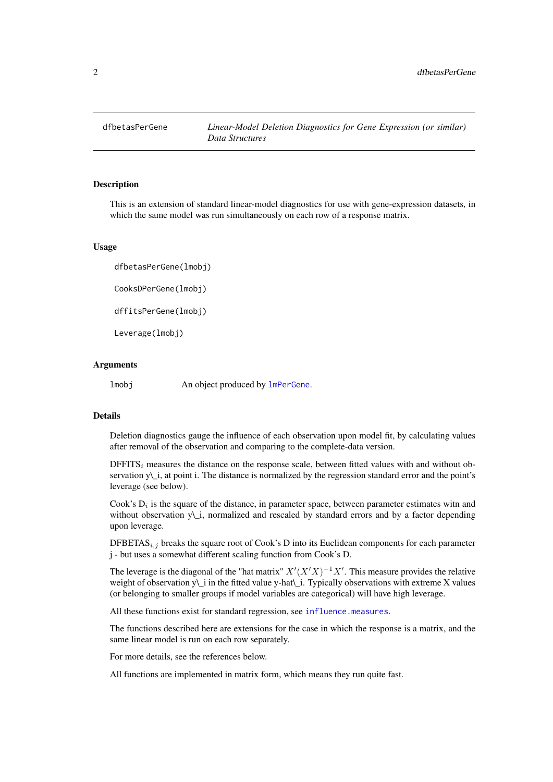<span id="page-1-1"></span><span id="page-1-0"></span>

#### <span id="page-1-2"></span>Description

This is an extension of standard linear-model diagnostics for use with gene-expression datasets, in which the same model was run simultaneously on each row of a response matrix.

#### Usage

dfbetasPerGene(lmobj) CooksDPerGene(lmobj) dffitsPerGene(lmobj) Leverage(lmobj)

#### Arguments

lmobj An object produced by [lmPerGene](#page-8-1).

# Details

Deletion diagnostics gauge the influence of each observation upon model fit, by calculating values after removal of the observation and comparing to the complete-data version.

 $D$ FFITS<sub>i</sub> measures the distance on the response scale, between fitted values with and without observation y\\_i, at point i. The distance is normalized by the regression standard error and the point's leverage (see below).

Cook's  $D_i$  is the square of the distance, in parameter space, between parameter estimates witn and without observation  $y\_{i}$ , normalized and rescaled by standard errors and by a factor depending upon leverage.

DFBETAS<sub>i,j</sub> breaks the square root of Cook's D into its Euclidean components for each parameter j - but uses a somewhat different scaling function from Cook's D.

The leverage is the diagonal of the "hat matrix"  $X'(X'X)^{-1}X'$ . This measure provides the relative weight of observation y\\_i in the fitted value y-hat\\_i. Typically observations with extreme X values (or belonging to smaller groups if model variables are categorical) will have high leverage.

All these functions exist for standard regression, see [influence.measures](#page-0-0).

The functions described here are extensions for the case in which the response is a matrix, and the same linear model is run on each row separately.

For more details, see the references below.

All functions are implemented in matrix form, which means they run quite fast.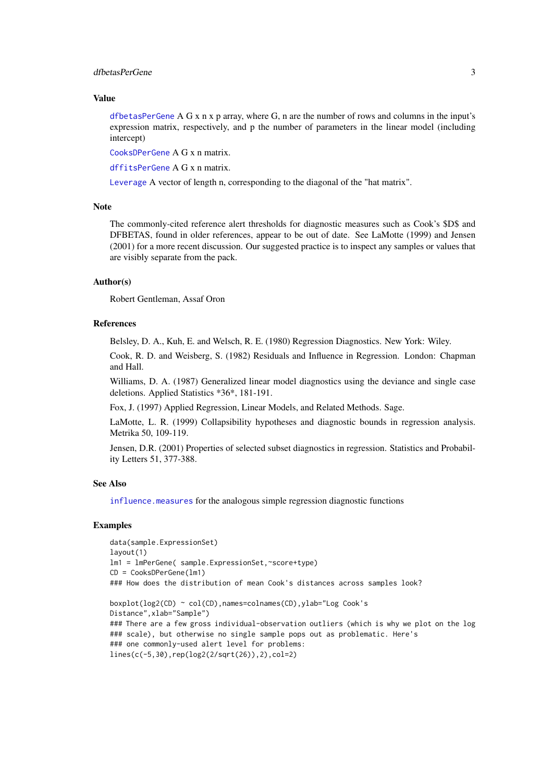#### <span id="page-2-0"></span>dfbetasPerGene 3

#### Value

[dfbetasPerGene](#page-1-1) A G x n x p array, where G, n are the number of rows and columns in the input's expression matrix, respectively, and p the number of parameters in the linear model (including intercept)

[CooksDPerGene](#page-1-2) A G x n matrix.

[dffitsPerGene](#page-1-2) A G x n matrix.

[Leverage](#page-1-2) A vector of length n, corresponding to the diagonal of the "hat matrix".

#### Note

The commonly-cited reference alert thresholds for diagnostic measures such as Cook's \$D\$ and DFBETAS, found in older references, appear to be out of date. See LaMotte (1999) and Jensen (2001) for a more recent discussion. Our suggested practice is to inspect any samples or values that are visibly separate from the pack.

# Author(s)

Robert Gentleman, Assaf Oron

# References

Belsley, D. A., Kuh, E. and Welsch, R. E. (1980) Regression Diagnostics. New York: Wiley.

Cook, R. D. and Weisberg, S. (1982) Residuals and Influence in Regression. London: Chapman and Hall.

Williams, D. A. (1987) Generalized linear model diagnostics using the deviance and single case deletions. Applied Statistics \*36\*, 181-191.

Fox, J. (1997) Applied Regression, Linear Models, and Related Methods. Sage.

LaMotte, L. R. (1999) Collapsibility hypotheses and diagnostic bounds in regression analysis. Metrika 50, 109-119.

Jensen, D.R. (2001) Properties of selected subset diagnostics in regression. Statistics and Probability Letters 51, 377-388.

#### See Also

[influence.measures](#page-0-0) for the analogous simple regression diagnostic functions

#### Examples

```
data(sample.ExpressionSet)
layout(1)
lm1 = lmPerGene( sample.ExpressionSet,~score+type)
CD = CooksDPerGene(lm1)
### How does the distribution of mean Cook's distances across samples look?
boxplot(log2(CD) ~ col(CD),names=colnames(CD),ylab="Log Cook's
Distance",xlab="Sample")
### There are a few gross individual-observation outliers (which is why we plot on the log
### scale), but otherwise no single sample pops out as problematic. Here's
### one commonly-used alert level for problems:
lines(c(-5,30),rep(log2(2/sqrt(26)),2),col=2)
```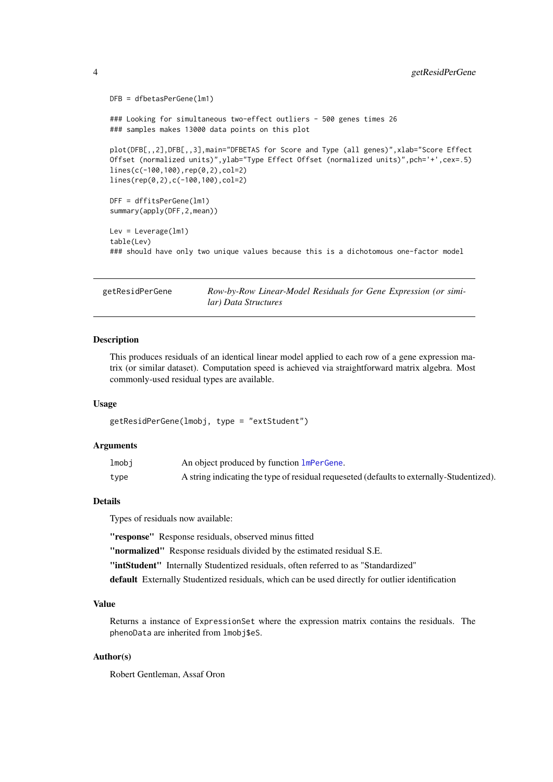```
DFB = dfbetasPerGene(lm1)
### Looking for simultaneous two-effect outliers - 500 genes times 26
### samples makes 13000 data points on this plot
plot(DFB[,,2],DFB[,,3],main="DFBETAS for Score and Type (all genes)",xlab="Score Effect
Offset (normalized units)",ylab="Type Effect Offset (normalized units)",pch='+',cex=.5)
lines(c(-100,100),rep(0,2),col=2)
lines(rep(0,2),c(-100,100),col=2)
DFF = dffitsPerGene(lm1)
summary(apply(DFF,2,mean))
Lev = Leverage(lm1)
table(Lev)
### should have only two unique values because this is a dichotomous one-factor model
```

```
getResidPerGene Row-by-Row Linear-Model Residuals for Gene Expression (or simi-
                       lar) Data Structures
```
# Description

This produces residuals of an identical linear model applied to each row of a gene expression matrix (or similar dataset). Computation speed is achieved via straightforward matrix algebra. Most commonly-used residual types are available.

#### Usage

```
getResidPerGene(lmobj, type = "extStudent")
```
#### Arguments

| lmobj | An object produced by function lmPerGene.                                                 |
|-------|-------------------------------------------------------------------------------------------|
| type  | A string indicating the type of residual requeseted (defaults to externally-Studentized). |

#### Details

Types of residuals now available:

"response" Response residuals, observed minus fitted

"normalized" Response residuals divided by the estimated residual S.E.

"intStudent" Internally Studentized residuals, often referred to as "Standardized"

default Externally Studentized residuals, which can be used directly for outlier identification

#### Value

Returns a instance of ExpressionSet where the expression matrix contains the residuals. The phenoData are inherited from lmobj\$eS.

# Author(s)

Robert Gentleman, Assaf Oron

<span id="page-3-0"></span>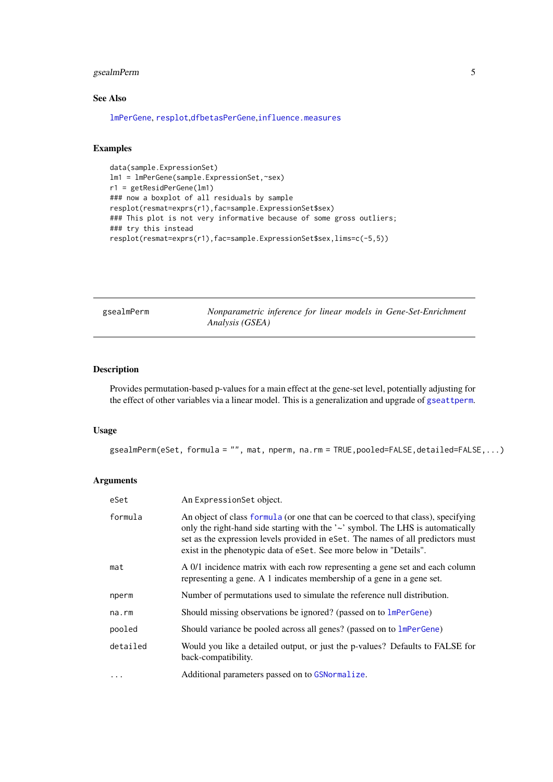#### <span id="page-4-0"></span>gsealmPerm 5

#### See Also

[lmPerGene](#page-8-1), [resplot](#page-10-1),[dfbetasPerGene](#page-1-1),[influence.measures](#page-0-0)

#### Examples

```
data(sample.ExpressionSet)
lm1 = lmPerGene(sample.ExpressionSet,~sex)
r1 = getResidPerGene(lm1)
### now a boxplot of all residuals by sample
resplot(resmat=exprs(r1),fac=sample.ExpressionSet$sex)
### This plot is not very informative because of some gross outliers;
### try this instead
resplot(resmat=exprs(r1),fac=sample.ExpressionSet$sex,lims=c(-5,5))
```
<span id="page-4-1"></span>gsealmPerm *Nonparametric inference for linear models in Gene-Set-Enrichment Analysis (GSEA)*

#### Description

Provides permutation-based p-values for a main effect at the gene-set level, potentially adjusting for the effect of other variables via a linear model. This is a generalization and upgrade of [gseattperm](#page-0-0).

# Usage

gsealmPerm(eSet, formula = "", mat, nperm, na.rm = TRUE, pooled=FALSE, detailed=FALSE,...)

# Arguments

| eSet     | An ExpressionSet object.                                                                                                                                                                                                                                                                                                      |
|----------|-------------------------------------------------------------------------------------------------------------------------------------------------------------------------------------------------------------------------------------------------------------------------------------------------------------------------------|
| formula  | An object of class formula (or one that can be coerced to that class), specifying<br>only the right-hand side starting with the '~' symbol. The LHS is automatically<br>set as the expression levels provided in eset. The names of all predictors must<br>exist in the phenotypic data of eSet. See more below in "Details". |
| mat      | A 0/1 incidence matrix with each row representing a gene set and each column<br>representing a gene. A 1 indicates membership of a gene in a gene set.                                                                                                                                                                        |
| nperm    | Number of permutations used to simulate the reference null distribution.                                                                                                                                                                                                                                                      |
| na.rm    | Should missing observations be ignored? (passed on to lmPerGene)                                                                                                                                                                                                                                                              |
| pooled   | Should variance be pooled across all genes? (passed on to 1mPerGene)                                                                                                                                                                                                                                                          |
| detailed | Would you like a detailed output, or just the p-values? Defaults to FALSE for<br>back-compatibility.                                                                                                                                                                                                                          |
|          | Additional parameters passed on to GSNormalize.                                                                                                                                                                                                                                                                               |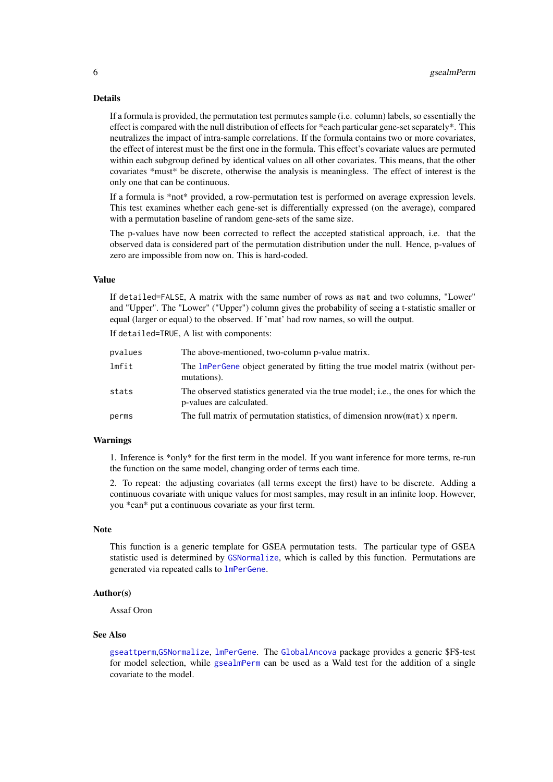#### <span id="page-5-0"></span>Details

If a formula is provided, the permutation test permutes sample (i.e. column) labels, so essentially the effect is compared with the null distribution of effects for \*each particular gene-set separately\*. This neutralizes the impact of intra-sample correlations. If the formula contains two or more covariates, the effect of interest must be the first one in the formula. This effect's covariate values are permuted within each subgroup defined by identical values on all other covariates. This means, that the other covariates \*must\* be discrete, otherwise the analysis is meaningless. The effect of interest is the only one that can be continuous.

If a formula is \*not\* provided, a row-permutation test is performed on average expression levels. This test examines whether each gene-set is differentially expressed (on the average), compared with a permutation baseline of random gene-sets of the same size.

The p-values have now been corrected to reflect the accepted statistical approach, i.e. that the observed data is considered part of the permutation distribution under the null. Hence, p-values of zero are impossible from now on. This is hard-coded.

# Value

If detailed=FALSE, A matrix with the same number of rows as mat and two columns, "Lower" and "Upper". The "Lower" ("Upper") column gives the probability of seeing a t-statistic smaller or equal (larger or equal) to the observed. If 'mat' had row names, so will the output.

If detailed=TRUE, A list with components:

| pvalues | The above-mentioned, two-column p-value matrix.                                                                |
|---------|----------------------------------------------------------------------------------------------------------------|
| lmfit   | The lmPerGene object generated by fitting the true model matrix (without per-<br>mutations).                   |
| stats   | The observed statistics generated via the true model; i.e., the ones for which the<br>p-values are calculated. |
| perms   | The full matrix of permutation statistics, of dimension nrow(mat) x nperm.                                     |

# Warnings

1. Inference is \*only\* for the first term in the model. If you want inference for more terms, re-run the function on the same model, changing order of terms each time.

2. To repeat: the adjusting covariates (all terms except the first) have to be discrete. Adding a continuous covariate with unique values for most samples, may result in an infinite loop. However, you \*can\* put a continuous covariate as your first term.

#### Note

This function is a generic template for GSEA permutation tests. The particular type of GSEA statistic used is determined by [GSNormalize](#page-6-1), which is called by this function. Permutations are generated via repeated calls to [lmPerGene](#page-8-1).

# Author(s)

Assaf Oron

# See Also

[gseattperm](#page-0-0),[GSNormalize](#page-6-1), [lmPerGene](#page-8-1). The [GlobalAncova](#page-0-0) package provides a generic \$F\$-test for model selection, while [gsealmPerm](#page-4-1) can be used as a Wald test for the addition of a single covariate to the model.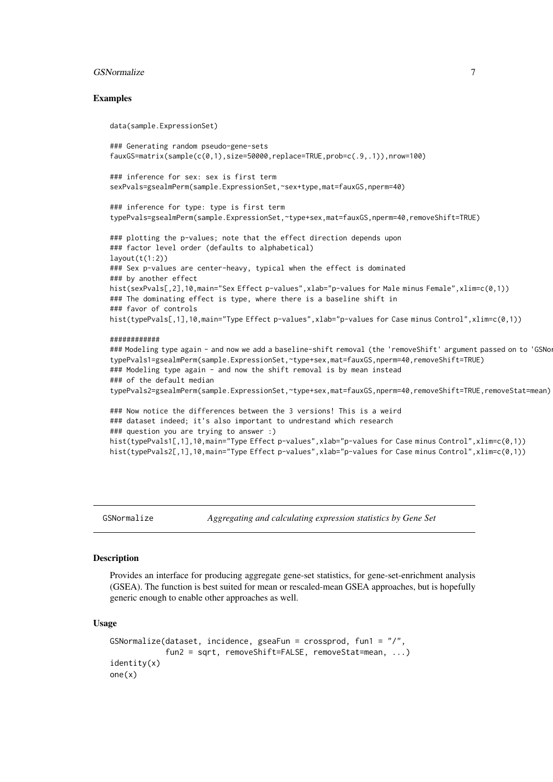#### <span id="page-6-0"></span>GSNormalize 7 and 2008 and 2008 and 2008 and 2008 and 2008 and 2008 and 2008 and 2008 and 2008 and 2008 and 2008 and 2008 and 2008 and 2008 and 2008 and 2008 and 2008 and 2008 and 2008 and 2008 and 2008 and 2008 and 2008 a

#### Examples

```
data(sample.ExpressionSet)
### Generating random pseudo-gene-sets
fauxGS=matrix(sample(c(0,1),size=50000,replace=TRUE,prob=c(.9,.1)),nrow=100)
### inference for sex: sex is first term
sexPvals=gsealmPerm(sample.ExpressionSet,~sex+type,mat=fauxGS,nperm=40)
### inference for type: type is first term
typePvals=gsealmPerm(sample.ExpressionSet,~type+sex,mat=fauxGS,nperm=40,removeShift=TRUE)
### plotting the p-values; note that the effect direction depends upon
### factor level order (defaults to alphabetical)
layout(t(1:2))### Sex p-values are center-heavy, typical when the effect is dominated
### by another effect
hist(sexPvals[,2],10,main="Sex Effect p-values",xlab="p-values for Male minus Female",xlim=c(0,1))
### The dominating effect is type, where there is a baseline shift in
### favor of controls
hist(typePvals[,1],10,main="Type Effect p-values",xlab="p-values for Case minus Control",xlim=c(0,1))
############
### Modeling type again - and now we add a baseline-shift removal (the 'removeShift' argument passed on to 'GSNo
typePvals1=gsealmPerm(sample.ExpressionSet,~type+sex,mat=fauxGS,nperm=40,removeShift=TRUE)
### Modeling type again - and now the shift removal is by mean instead
### of the default median
typePvals2=gsealmPerm(sample.ExpressionSet,~type+sex,mat=fauxGS,nperm=40,removeShift=TRUE,removeStat=mean)
### Now notice the differences between the 3 versions! This is a weird
### dataset indeed; it's also important to undrestand which research
### question you are trying to answer :)
hist(typePvals1[,1],10,main="Type Effect p-values",xlab="p-values for Case minus Control",xlim=c(0,1))
hist(typePvals2[,1],10,main="Type Effect p-values",xlab="p-values for Case minus Control",xlim=c(0,1))
```
GSNormalize *Aggregating and calculating expression statistics by Gene Set*

#### Description

Provides an interface for producing aggregate gene-set statistics, for gene-set-enrichment analysis (GSEA). The function is best suited for mean or rescaled-mean GSEA approaches, but is hopefully generic enough to enable other approaches as well.

#### Usage

```
GSNormalize(dataset, incidence, gseaFun = crossprod, fun1 = "/",
            fun2 = sqrt, removeShift=FALSE, removeStat=mean, ...)
identity(x)
one(x)
```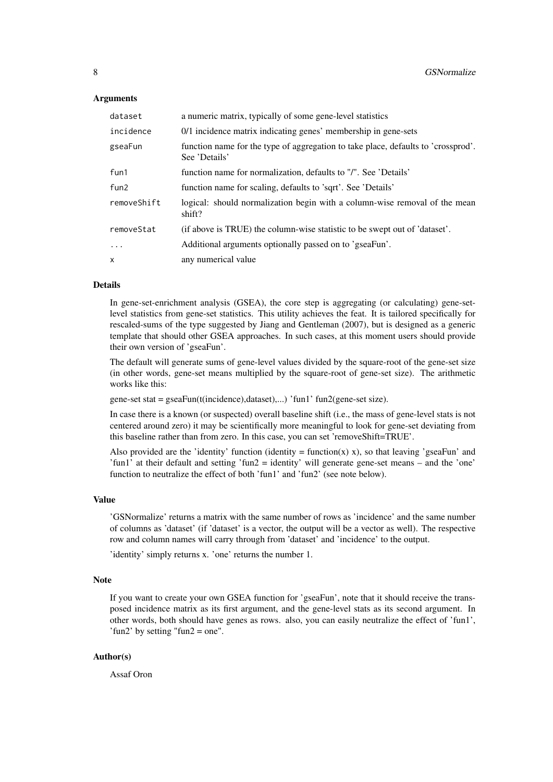#### Arguments

| dataset          | a numeric matrix, typically of some gene-level statistics                                          |
|------------------|----------------------------------------------------------------------------------------------------|
| incidence        | 0/1 incidence matrix indicating genes' membership in gene-sets                                     |
| gseaFun          | function name for the type of aggregation to take place, defaults to 'crossprod'.<br>See 'Details' |
| fun1             | function name for normalization, defaults to "/". See 'Details'                                    |
| fun <sub>2</sub> | function name for scaling, defaults to 'sqrt'. See 'Details'                                       |
| removeShift      | logical: should normalization begin with a column-wise removal of the mean<br>shift?               |
| removeStat       | (if above is TRUE) the column-wise statistic to be swept out of 'dataset'.                         |
| $\ddots$ .       | Additional arguments optionally passed on to 'gseaFun'.                                            |
| X                | any numerical value                                                                                |

# Details

In gene-set-enrichment analysis (GSEA), the core step is aggregating (or calculating) gene-setlevel statistics from gene-set statistics. This utility achieves the feat. It is tailored specifically for rescaled-sums of the type suggested by Jiang and Gentleman (2007), but is designed as a generic template that should other GSEA approaches. In such cases, at this moment users should provide their own version of 'gseaFun'.

The default will generate sums of gene-level values divided by the square-root of the gene-set size (in other words, gene-set means multiplied by the square-root of gene-set size). The arithmetic works like this:

gene-set stat = gseaFun(t(incidence),dataset),...) 'fun1' fun2(gene-set size).

In case there is a known (or suspected) overall baseline shift (i.e., the mass of gene-level stats is not centered around zero) it may be scientifically more meaningful to look for gene-set deviating from this baseline rather than from zero. In this case, you can set 'removeShift=TRUE'.

Also provided are the 'identity' function (identity = function(x) x), so that leaving 'gseaFun' and 'fun1' at their default and setting 'fun2 = identity' will generate gene-set means – and the 'one' function to neutralize the effect of both 'fun1' and 'fun2' (see note below).

#### Value

'GSNormalize' returns a matrix with the same number of rows as 'incidence' and the same number of columns as 'dataset' (if 'dataset' is a vector, the output will be a vector as well). The respective row and column names will carry through from 'dataset' and 'incidence' to the output.

'identity' simply returns x. 'one' returns the number 1.

#### Note

If you want to create your own GSEA function for 'gseaFun', note that it should receive the transposed incidence matrix as its first argument, and the gene-level stats as its second argument. In other words, both should have genes as rows. also, you can easily neutralize the effect of 'fun1', 'fun2' by setting "fun2 = one".

# Author(s)

Assaf Oron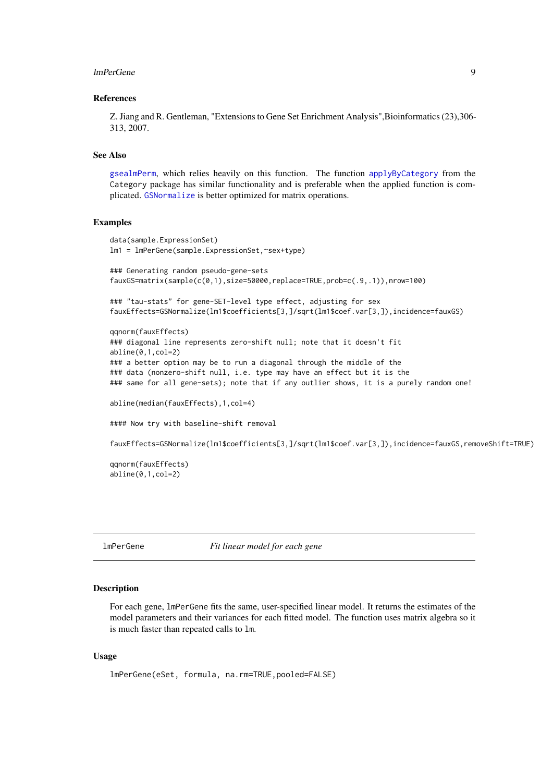#### <span id="page-8-0"></span>lmPerGene 99

#### References

Z. Jiang and R. Gentleman, "Extensions to Gene Set Enrichment Analysis",Bioinformatics (23),306- 313, 2007.

# See Also

[gsealmPerm](#page-4-1), which relies heavily on this function. The function [applyByCategory](#page-0-0) from the Category package has similar functionality and is preferable when the applied function is complicated. [GSNormalize](#page-6-1) is better optimized for matrix operations.

#### Examples

```
data(sample.ExpressionSet)
lm1 = lmPerGene(sample.ExpressionSet,~sex+type)
### Generating random pseudo-gene-sets
fauxGS=matrix(sample(c(0,1),size=50000,replace=TRUE,prob=c(.9,.1)),nrow=100)
### "tau-stats" for gene-SET-level type effect, adjusting for sex
fauxEffects=GSNormalize(lm1$coefficients[3,]/sqrt(lm1$coef.var[3,]),incidence=fauxGS)
qqnorm(fauxEffects)
### diagonal line represents zero-shift null; note that it doesn't fit
abline(0,1,col=2)
### a better option may be to run a diagonal through the middle of the
### data (nonzero-shift null, i.e. type may have an effect but it is the
### same for all gene-sets); note that if any outlier shows, it is a purely random one!
abline(median(fauxEffects),1,col=4)
#### Now try with baseline-shift removal
fauxEffects=GSNormalize(lm1$coefficients[3,]/sqrt(lm1$coef.var[3,]),incidence=fauxGS,removeShift=TRUE)
qqnorm(fauxEffects)
abline(0,1,col=2)
```
<span id="page-8-1"></span>lmPerGene *Fit linear model for each gene*

#### Description

For each gene, lmPerGene fits the same, user-specified linear model. It returns the estimates of the model parameters and their variances for each fitted model. The function uses matrix algebra so it is much faster than repeated calls to lm.

# Usage

```
lmPerGene(eSet, formula, na.rm=TRUE,pooled=FALSE)
```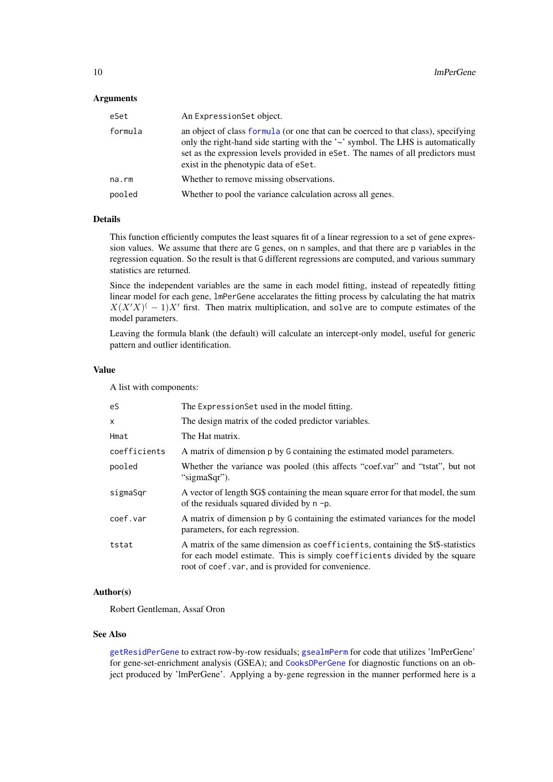# <span id="page-9-0"></span>Arguments

| eSet    | An Expression Set object.                                                                                                                                                                                                                                                                        |
|---------|--------------------------------------------------------------------------------------------------------------------------------------------------------------------------------------------------------------------------------------------------------------------------------------------------|
| formula | an object of class formula (or one that can be coerced to that class), specifying<br>only the right-hand side starting with the '~' symbol. The LHS is automatically<br>set as the expression levels provided in eSet. The names of all predictors must<br>exist in the phenotypic data of eSet. |
| na.rm   | Whether to remove missing observations.                                                                                                                                                                                                                                                          |
| pooled  | Whether to pool the variance calculation across all genes.                                                                                                                                                                                                                                       |

# Details

This function efficiently computes the least squares fit of a linear regression to a set of gene expression values. We assume that there are G genes, on n samples, and that there are p variables in the regression equation. So the result is that G different regressions are computed, and various summary statistics are returned.

Since the independent variables are the same in each model fitting, instead of repeatedly fitting linear model for each gene, lmPerGene accelarates the fitting process by calculating the hat matrix  $X(X'X)^{(-1)}X'$  first. Then matrix multiplication, and solve are to compute estimates of the model parameters.

Leaving the formula blank (the default) will calculate an intercept-only model, useful for generic pattern and outlier identification.

#### Value

A list with components:

| eS           | The Expression Set used in the model fitting.                                                                                                                                                                        |
|--------------|----------------------------------------------------------------------------------------------------------------------------------------------------------------------------------------------------------------------|
| x            | The design matrix of the coded predictor variables.                                                                                                                                                                  |
| Hmat         | The Hat matrix.                                                                                                                                                                                                      |
| coefficients | A matrix of dimension p by G containing the estimated model parameters.                                                                                                                                              |
| pooled       | Whether the variance was pooled (this affects "coef.var" and "tstat", but not<br>"sigmaSqr").                                                                                                                        |
| sigmaSqr     | A vector of length \$G\$ containing the mean square error for that model, the sum<br>of the residuals squared divided by $n - p$ .                                                                                   |
| coef.var     | A matrix of dimension p by G containing the estimated variances for the model<br>parameters, for each regression.                                                                                                    |
| tstat        | A matrix of the same dimension as coefficients, containing the \$t\$-statistics<br>for each model estimate. This is simply coefficients divided by the square<br>root of coef, var, and is provided for convenience. |

#### Author(s)

Robert Gentleman, Assaf Oron

# See Also

[getResidPerGene](#page-3-1) to extract row-by-row residuals; [gsealmPerm](#page-4-1) for code that utilizes 'lmPerGene' for gene-set-enrichment analysis (GSEA); and [CooksDPerGene](#page-1-2) for diagnostic functions on an object produced by 'lmPerGene'. Applying a by-gene regression in the manner performed here is a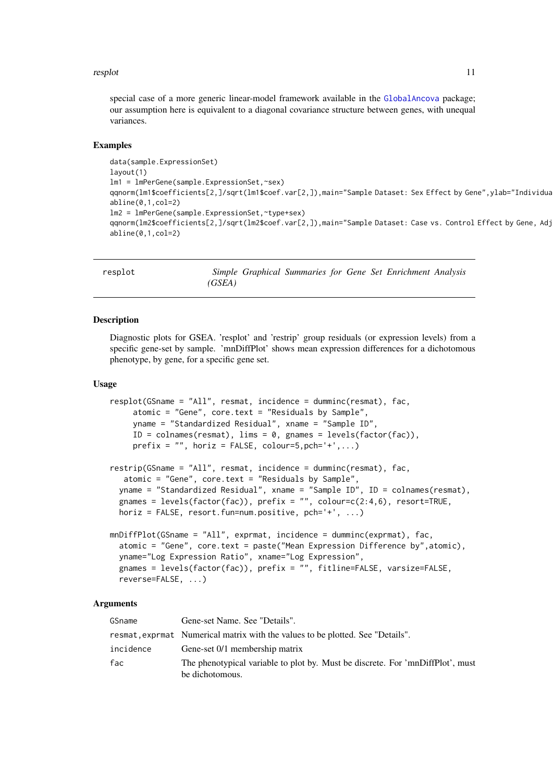#### <span id="page-10-0"></span>resplot that the contract of the contract of the contract of the contract of the contract of the contract of the contract of the contract of the contract of the contract of the contract of the contract of the contract of t

special case of a more generic linear-model framework available in the [GlobalAncova](#page-0-0) package; our assumption here is equivalent to a diagonal covariance structure between genes, with unequal variances.

#### Examples

```
data(sample.ExpressionSet)
layout(1)
lm1 = lmPerGene(sample.ExpressionSet,~sex)
qqnorm(lm1$coefficients[2,]/sqrt(lm1$coef.var[2,]),main="Sample Dataset: Sex Effect by Gene",ylab="Individua
abline(0,1,col=2)
lm2 = lmPerGene(sample.ExpressionSet,~type+sex)
qqnorm(lm2$coefficients[2,]/sqrt(lm2$coef.var[2,]),main="Sample Dataset: Case vs. Control Effect by Gene, Adj
abline(0,1,col=2)
```
<span id="page-10-1"></span>resplot *Simple Graphical Summaries for Gene Set Enrichment Analysis (GSEA)*

#### **Description**

Diagnostic plots for GSEA. 'resplot' and 'restrip' group residuals (or expression levels) from a specific gene-set by sample. 'mnDiffPlot' shows mean expression differences for a dichotomous phenotype, by gene, for a specific gene set.

#### Usage

```
resplot(GSname = "All", resmat, incidence = dumminc(resmat), fac,
     atomic = "Gene", core.text = "Residuals by Sample",
     yname = "Standardized Residual", xname = "Sample ID",
     ID = colnames(resmat), lims = 0, gnames = levels(factor(fac)),
     prefix = "", horiz = FALSE, colour=5, pch='+', ...)restrip(GSname = "All", resmat, incidence = dumminc(resmat), fac,
   atomic = "Gene", core.text = "Residuals by Sample",
  yname = "Standardized Residual", xname = "Sample ID", ID = colnames(resmat),
  gnames = levels(factor(fac)), prefix = ", colour=c(2:4,6), resort=TRUE,
  horiz = FALSE, resort.fun=num.positive, pch='+', ...)mnDiffPlot(GSname = "All", exprmat, incidence = dumminc(exprmat), fac,
  atomic = "Gene", core.text = paste("Mean Expression Difference by",atomic),
 yname="Log Expression Ratio", xname="Log Expression",
  gnames = levels(factor(fac)), prefix = "", fitline=FALSE, varsize=FALSE,
  reverse=FALSE, ...)
```
# Arguments

| GSname    | Gene-set Name. See "Details".                                                                     |
|-----------|---------------------------------------------------------------------------------------------------|
|           | resmat, exprmat Numerical matrix with the values to be plotted. See "Details".                    |
| incidence | Gene-set 0/1 membership matrix                                                                    |
| fac       | The phenotypical variable to plot by. Must be discrete. For 'mnDiffPlot', must<br>be dichotomous. |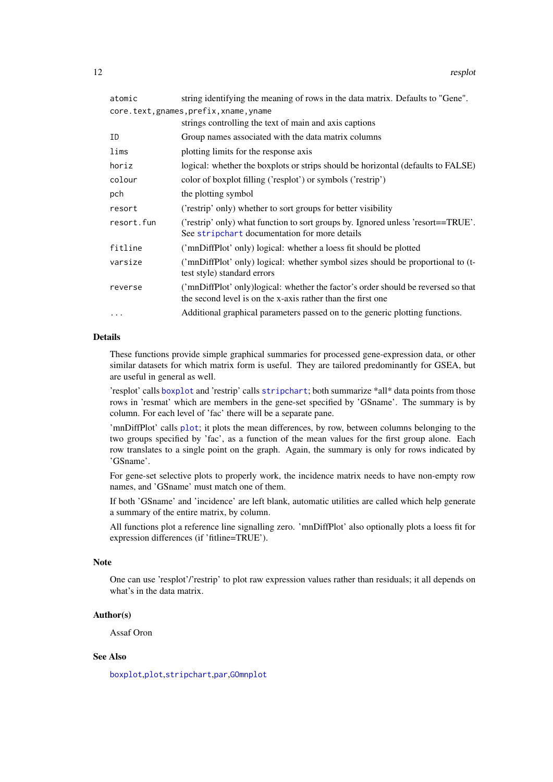<span id="page-11-0"></span>

| atomic                                  | string identifying the meaning of rows in the data matrix. Defaults to "Gene".                                                                   |
|-----------------------------------------|--------------------------------------------------------------------------------------------------------------------------------------------------|
| core.text, gnames, prefix, xname, yname |                                                                                                                                                  |
|                                         | strings controlling the text of main and axis captions                                                                                           |
| ΙD                                      | Group names associated with the data matrix columns                                                                                              |
| lims                                    | plotting limits for the response axis                                                                                                            |
| horiz                                   | logical: whether the boxplots or strips should be horizontal (defaults to FALSE)                                                                 |
| colour                                  | color of boxplot filling ('resplot') or symbols ('restrip')                                                                                      |
| pch                                     | the plotting symbol                                                                                                                              |
| resort                                  | ('restrip' only) whether to sort groups for better visibility                                                                                    |
| resort.fun                              | ('restrip' only) what function to sort groups by. Ignored unless 'resort==TRUE'.<br>See stripchart documentation for more details                |
| fitline                                 | ('mnDiffPlot' only) logical: whether a loess fit should be plotted                                                                               |
| varsize                                 | ('mnDiffPlot' only) logical: whether symbol sizes should be proportional to (t-<br>test style) standard errors                                   |
| reverse                                 | ('mnDiffPlot' only)logical: whether the factor's order should be reversed so that<br>the second level is on the x-axis rather than the first one |
| $\ddots$ .                              | Additional graphical parameters passed on to the generic plotting functions.                                                                     |
|                                         |                                                                                                                                                  |

# Details

These functions provide simple graphical summaries for processed gene-expression data, or other similar datasets for which matrix form is useful. They are tailored predominantly for GSEA, but are useful in general as well.

'resplot' calls [boxplot](#page-0-0) and 'restrip' calls [stripchart](#page-0-0); both summarize \*all\* data points from those rows in 'resmat' which are members in the gene-set specified by 'GSname'. The summary is by column. For each level of 'fac' there will be a separate pane.

'mnDiffPlot' calls [plot](#page-0-0); it plots the mean differences, by row, between columns belonging to the two groups specified by 'fac', as a function of the mean values for the first group alone. Each row translates to a single point on the graph. Again, the summary is only for rows indicated by 'GSname'.

For gene-set selective plots to properly work, the incidence matrix needs to have non-empty row names, and 'GSname' must match one of them.

If both 'GSname' and 'incidence' are left blank, automatic utilities are called which help generate a summary of the entire matrix, by column.

All functions plot a reference line signalling zero. 'mnDiffPlot' also optionally plots a loess fit for expression differences (if 'fitline=TRUE').

#### Note

One can use 'resplot'/'restrip' to plot raw expression values rather than residuals; it all depends on what's in the data matrix.

### Author(s)

Assaf Oron

# See Also

[boxplot](#page-0-0),[plot](#page-0-0),[stripchart](#page-0-0),[par](#page-0-0),[GOmnplot](#page-0-0)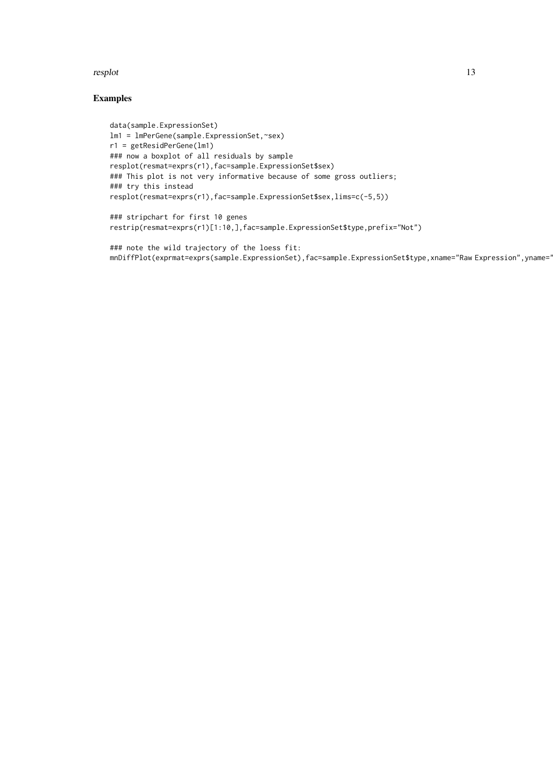#### resplot that the contract of the contract of the contract of the contract of the contract of the contract of the contract of the contract of the contract of the contract of the contract of the contract of the contract of t

# Examples

```
data(sample.ExpressionSet)
lm1 = lmPerGene(sample.ExpressionSet,~sex)
r1 = getResidPerGene(lm1)
### now a boxplot of all residuals by sample
resplot(resmat=exprs(r1),fac=sample.ExpressionSet$sex)
### This plot is not very informative because of some gross outliers;
### try this instead
resplot(resmat=exprs(r1),fac=sample.ExpressionSet$sex,lims=c(-5,5))
### stripchart for first 10 genes
restrip(resmat=exprs(r1)[1:10,],fac=sample.ExpressionSet$type,prefix="Not")
```

```
### note the wild trajectory of the loess fit:
mnDiffPlot(exprmat=exprs(sample.ExpressionSet),fac=sample.ExpressionSet$type,xname="Raw Expression",yname='
```